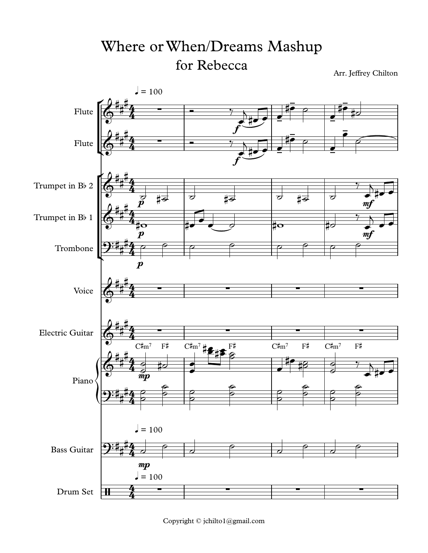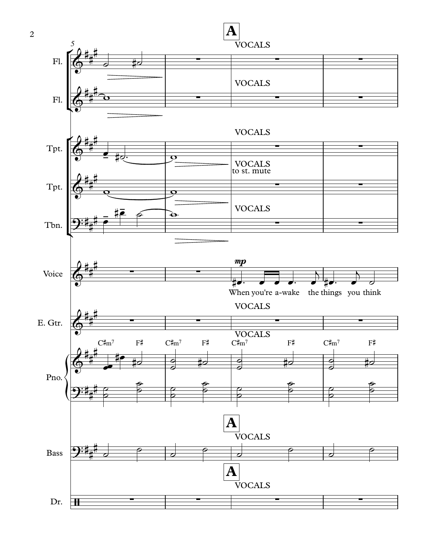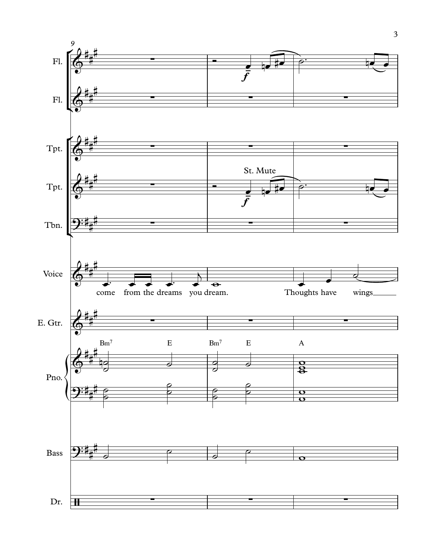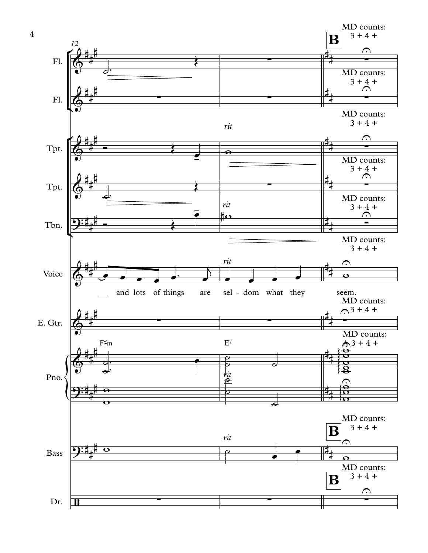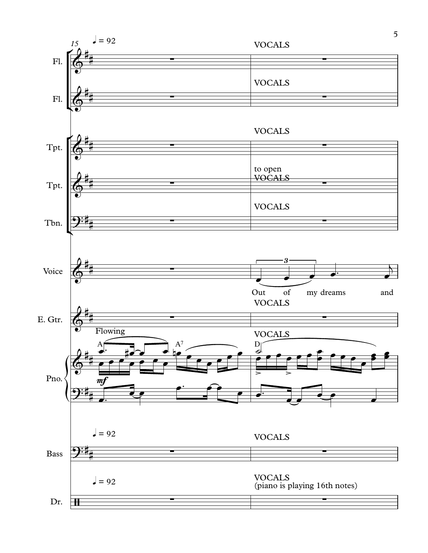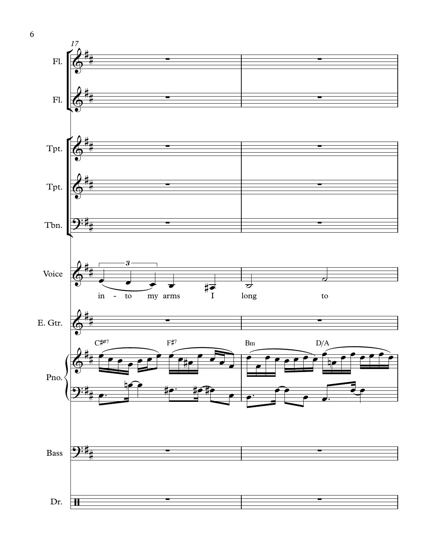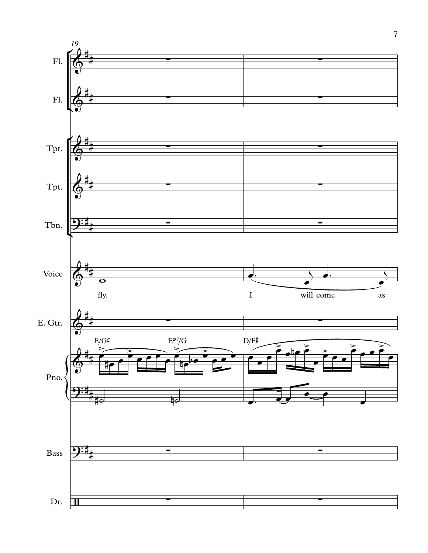

 $\sqrt{7}$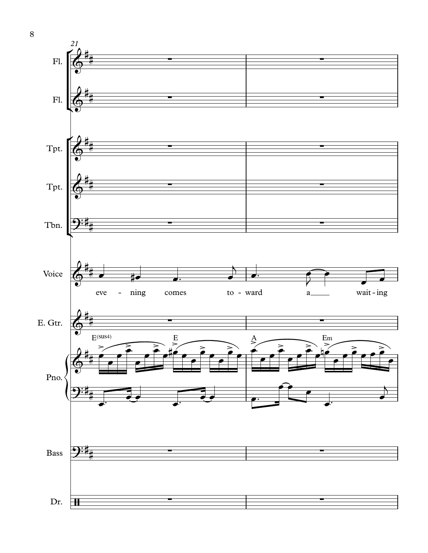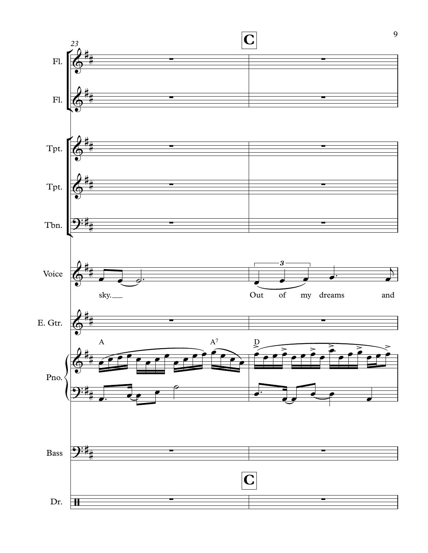

 $\boldsymbol{9}$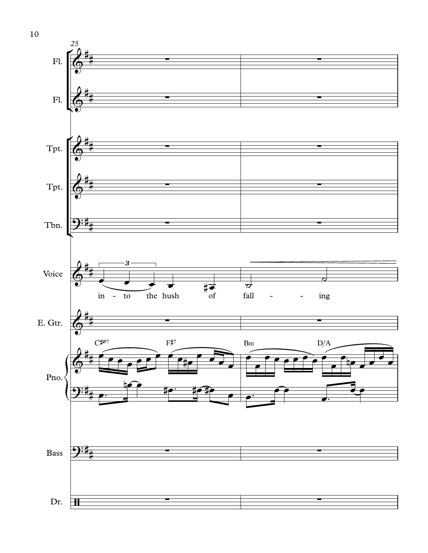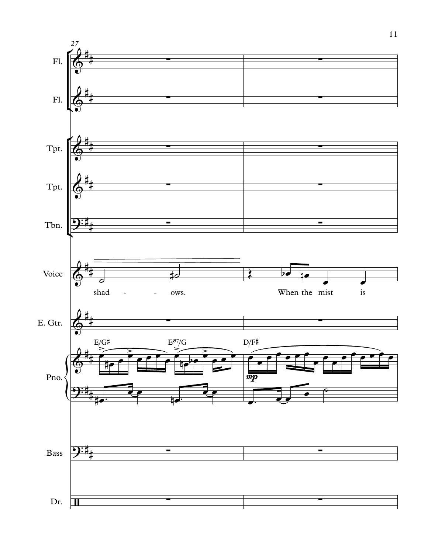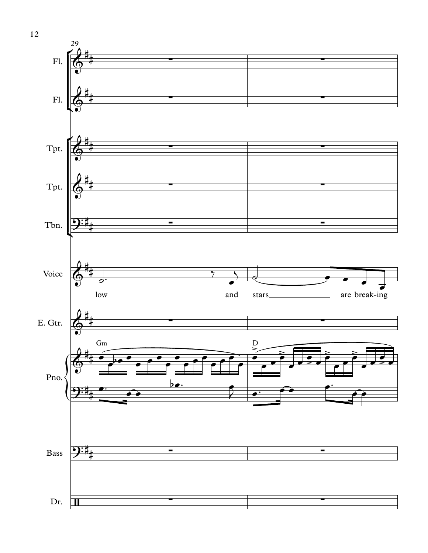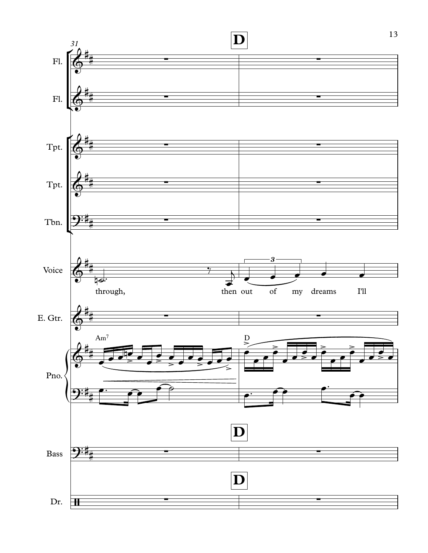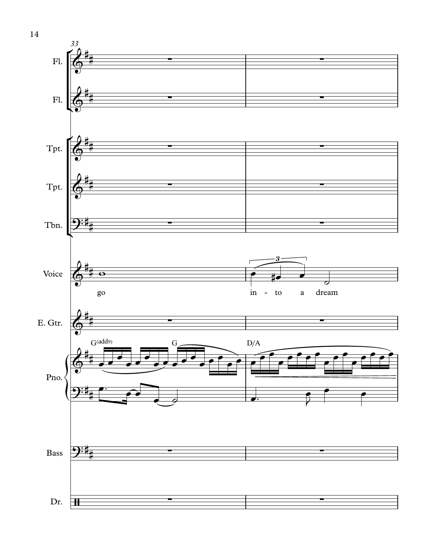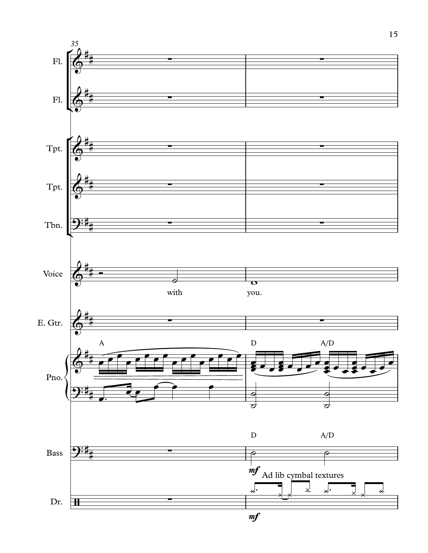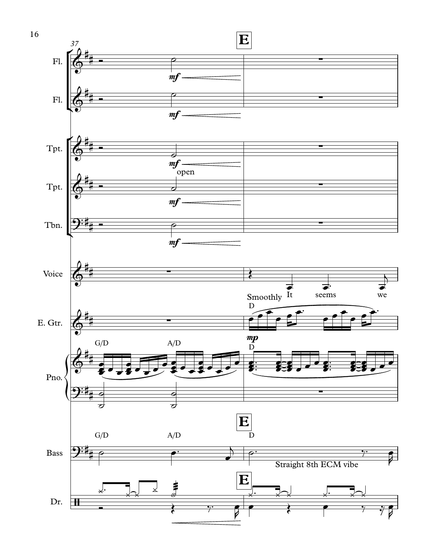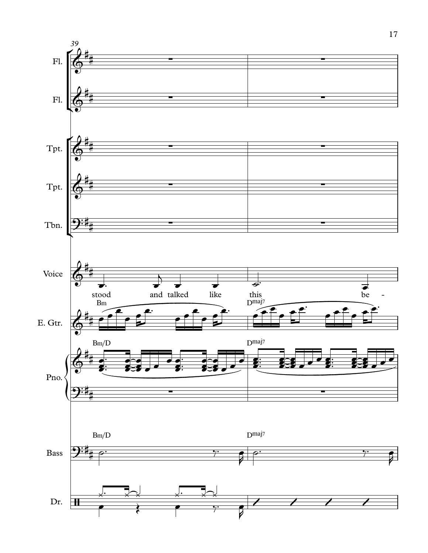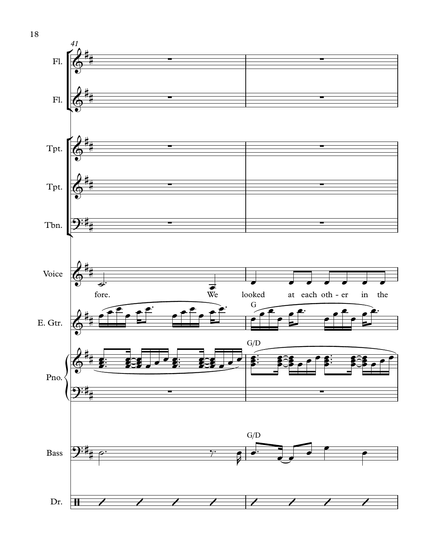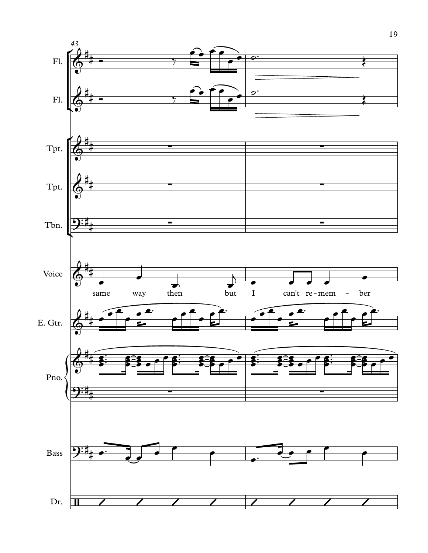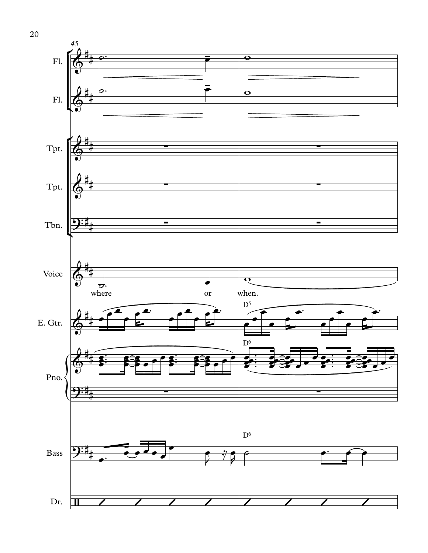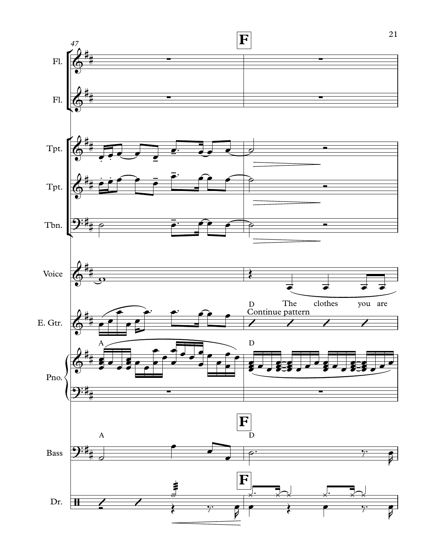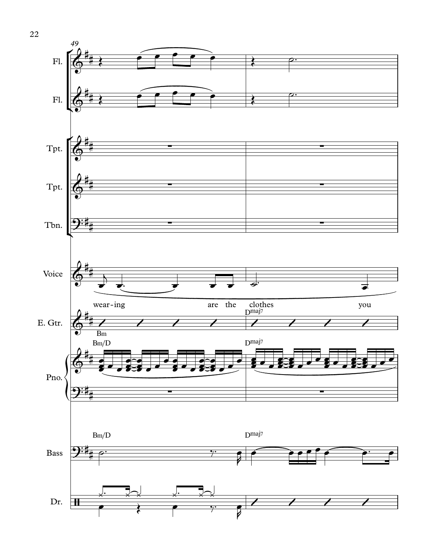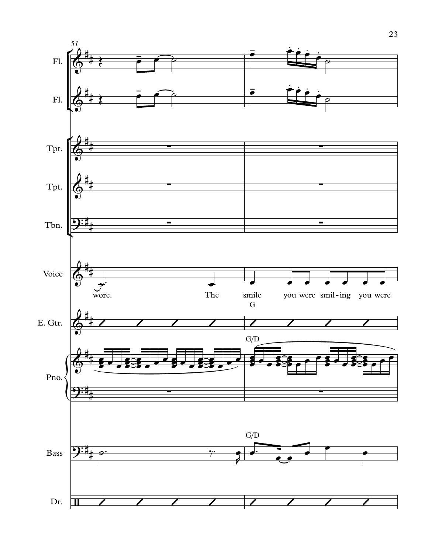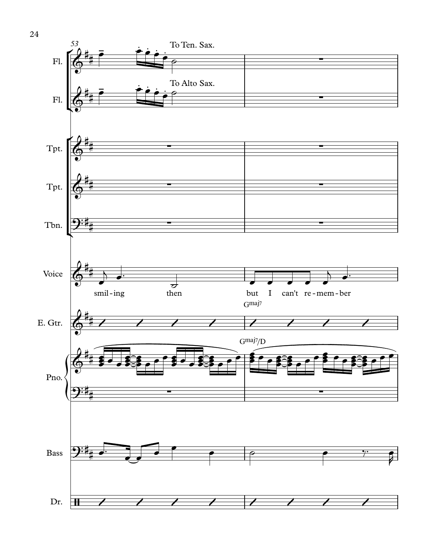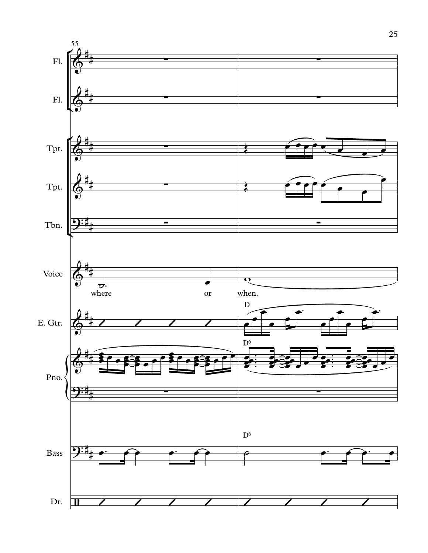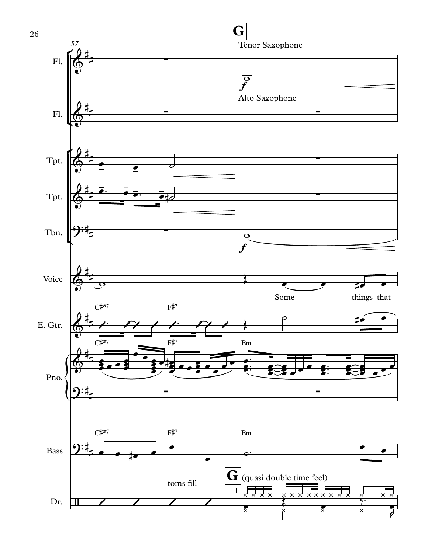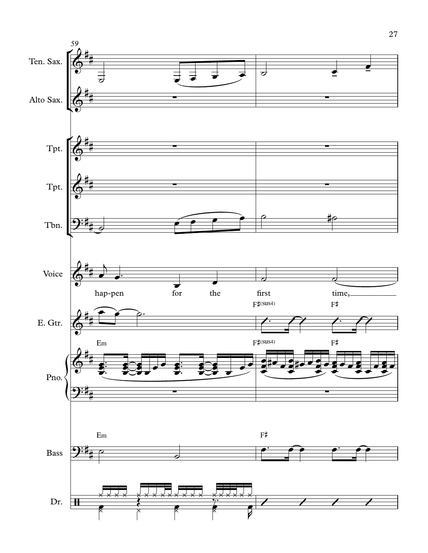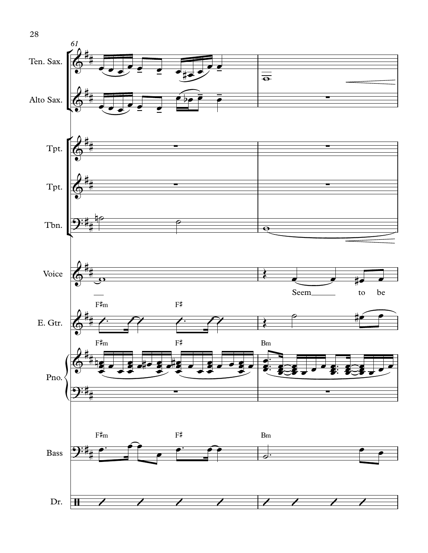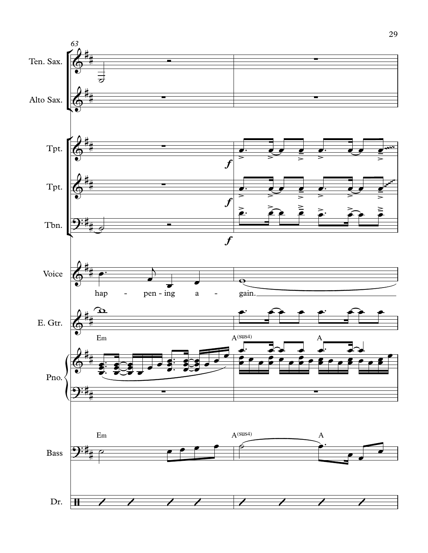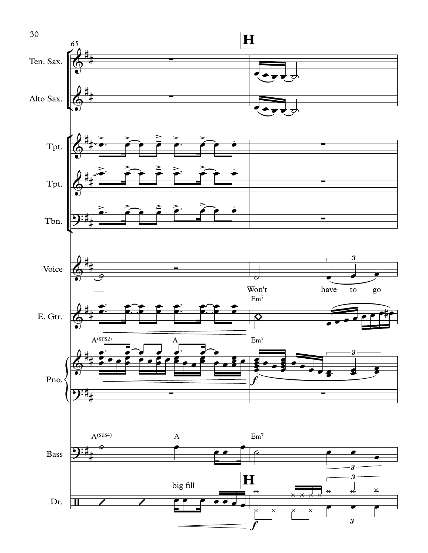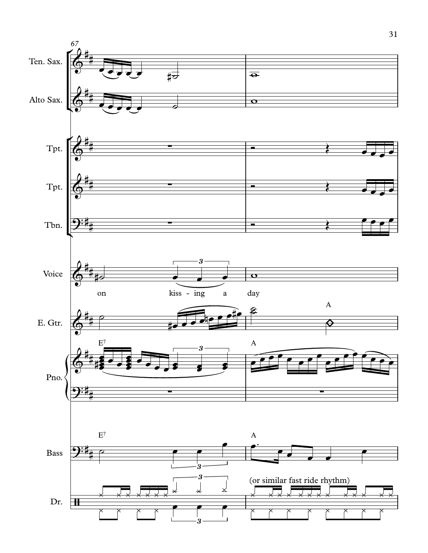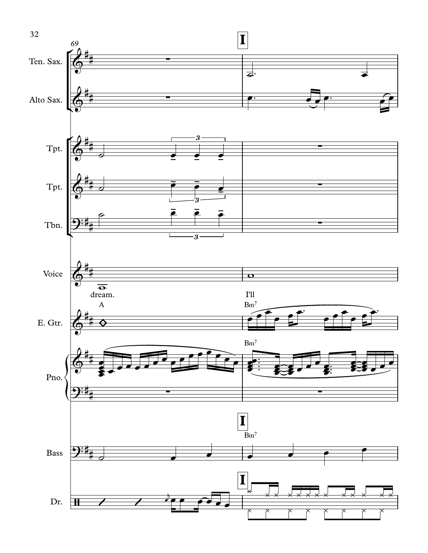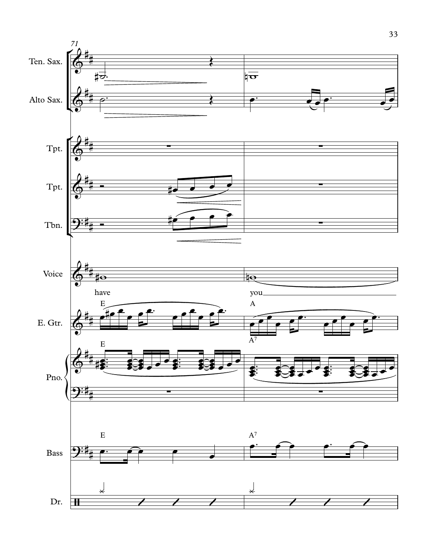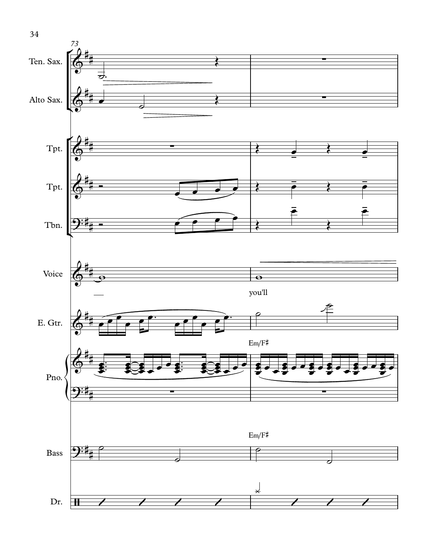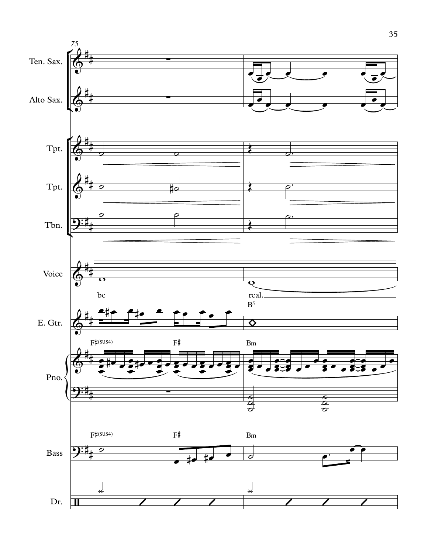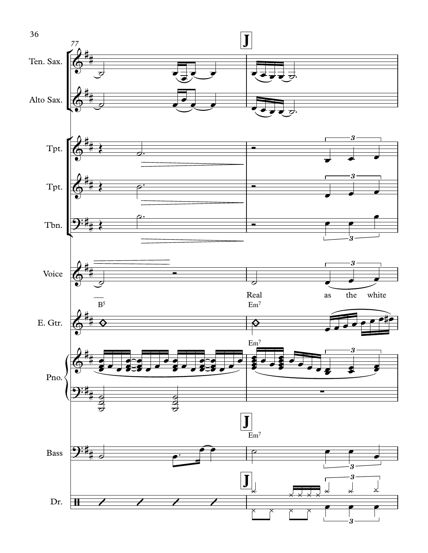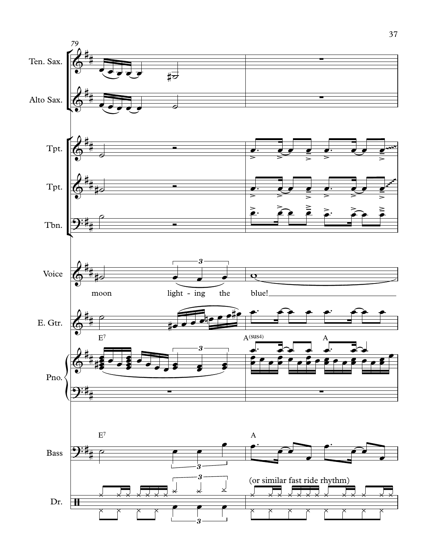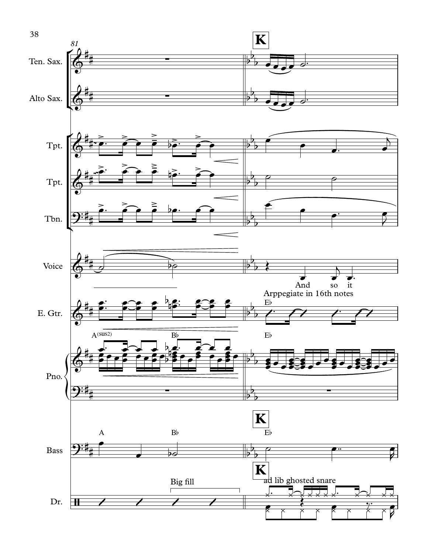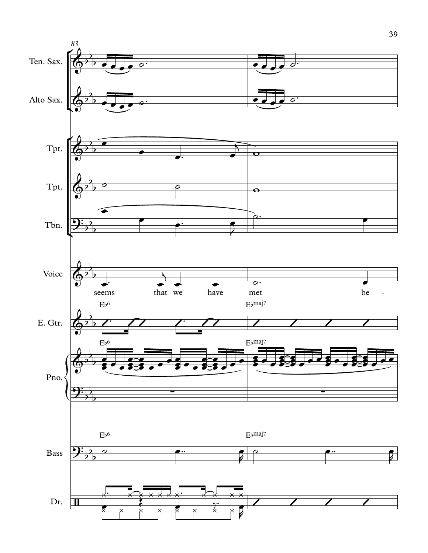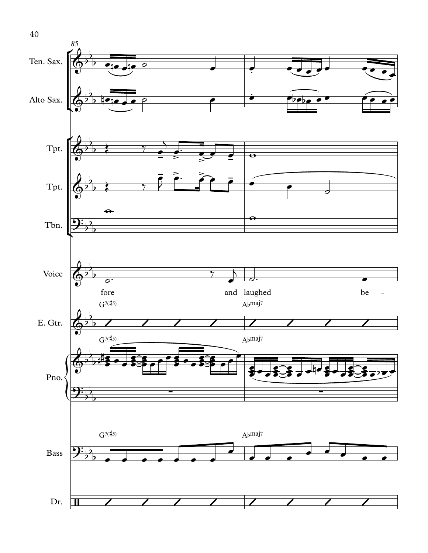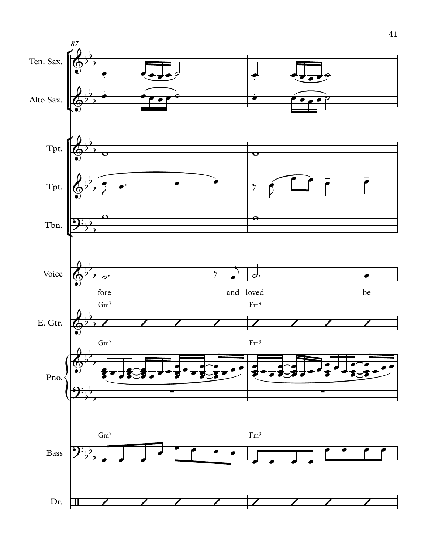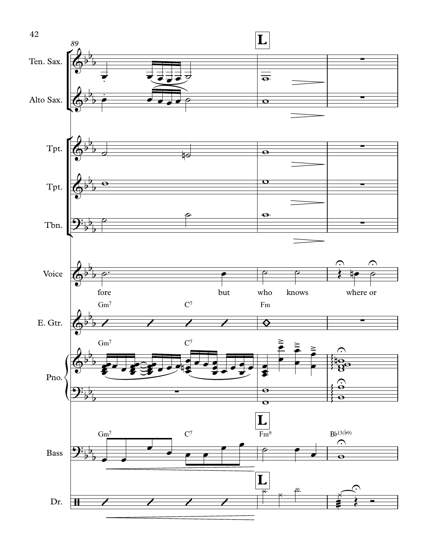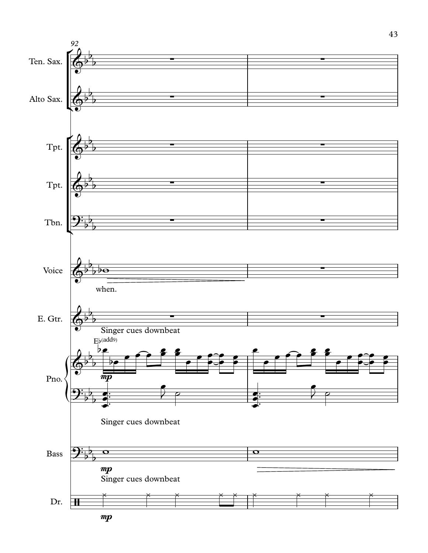